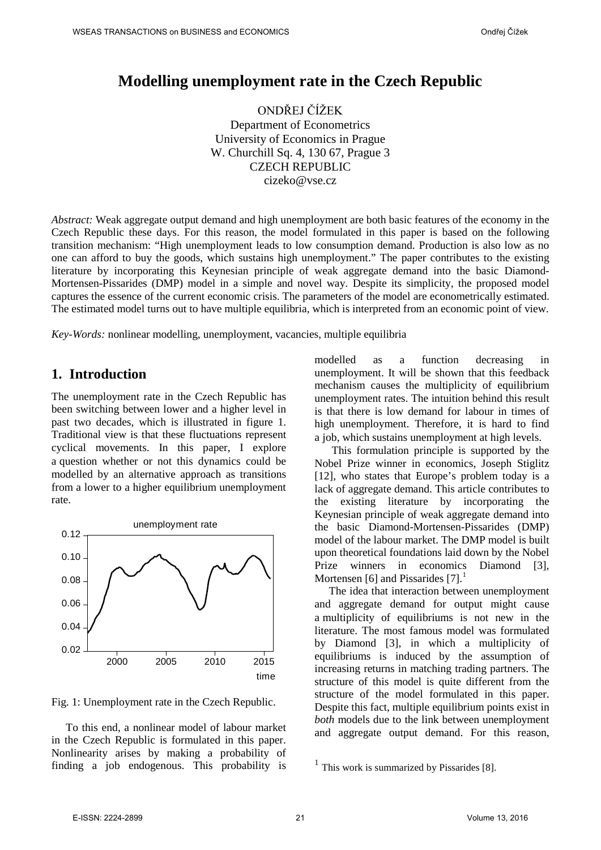# **Modelling unemployment rate in the Czech Republic**

ONDŘEJ ČÍŽEK Department of Econometrics University of Economics in Prague W. Churchill Sq. 4, 130 67, Prague 3 CZECH REPUBLIC cizeko@vse.cz

*Abstract:* Weak aggregate output demand and high unemployment are both basic features of the economy in the Czech Republic these days. For this reason, the model formulated in this paper is based on the following transition mechanism: "High unemployment leads to low consumption demand. Production is also low as no one can afford to buy the goods, which sustains high unemployment." The paper contributes to the existing literature by incorporating this Keynesian principle of weak aggregate demand into the basic Diamond-Mortensen-Pissarides (DMP) model in a simple and novel way. Despite its simplicity, the proposed model captures the essence of the current economic crisis. The parameters of the model are econometrically estimated. The estimated model turns out to have multiple equilibria, which is interpreted from an economic point of view.

*Key-Words:* nonlinear modelling, unemployment, vacancies, multiple equilibria

# **1. Introduction**

The unemployment rate in the Czech Republic has been switching between lower and a higher level in past two decades, which is illustrated in figure 1. Traditional view is that these fluctuations represent cyclical movements. In this paper, I explore a question whether or not this dynamics could be modelled by an alternative approach as transitions from a lower to a higher equilibrium unemployment rate.



Fig. 1: Unemployment rate in the Czech Republic.

<span id="page-0-1"></span><span id="page-0-0"></span>To this end, a nonlinear model of labour market in the Czech Republic is formulated in this paper. Nonlinearity arises by making a probability of finding a job endogenous. This probability is

modelled as a function decreasing in unemployment. It will be shown that this feedback mechanism causes the multiplicity of equilibrium unemployment rates. The intuition behind this result is that there is low demand for labour in times of high unemployment. Therefore, it is hard to find a job, which sustains unemployment at high levels.

This formulation principle is supported by the Nobel Prize winner in economics, Joseph Stiglitz [\[12\],](#page-8-0) who states that Europe's problem today is a lack of aggregate demand. This article contributes to the existing literature by incorporating the Keynesian principle of weak aggregate demand into the basic Diamond-Mortensen-Pissarides (DMP) model of the labour market. The DMP model is built upon theoretical foundations laid down by the Nobel Prize winners in economics Diamond [\[3\],](#page-8-1) Mortensen [\[6\]](#page-8-2) and Pissarides [\[7\].](#page-8-3)<sup>[1](#page-0-0)</sup>

The idea that interaction between unemployment and aggregate demand for output might cause a multiplicity of equilibriums is not new in the literature. The most famous model was formulated by Diamond [\[3\],](#page-8-1) in which a multiplicity of equilibriums is induced by the assumption of increasing returns in matching trading partners. The structure of this model is quite different from the structure of the model formulated in this paper. Despite this fact, multiple equilibrium points exist in *both* models due to the link between unemployment and aggregate output demand. For this reason,

 $<sup>1</sup>$  This work is summarized by Pissaride[s \[8\].](#page-8-4)</sup>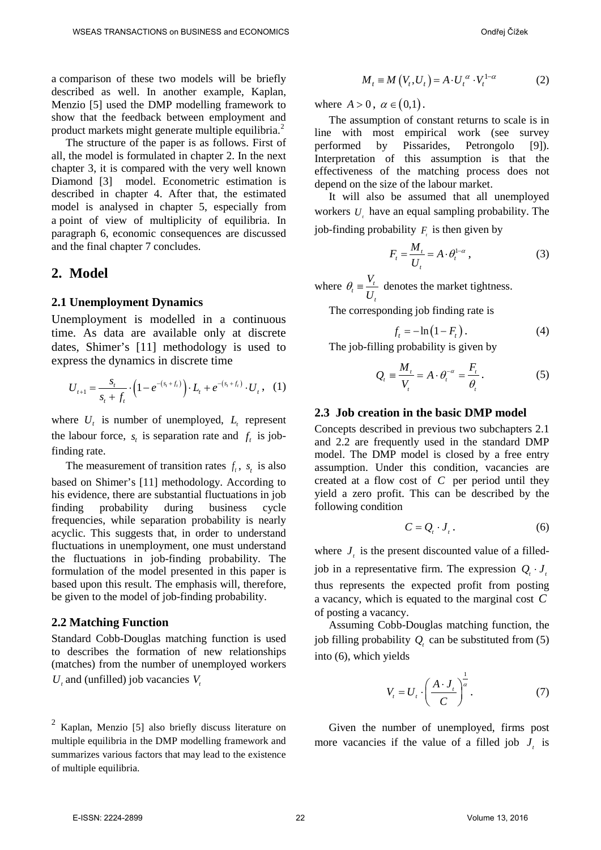a comparison of these two models will be briefly described as well. In another example, Kaplan, Menzio [\[5\]](#page-8-5) used the DMP modelling framework to show that the feedback between employment and product markets might generate multiple equilibria.<sup>[2](#page-0-1)</sup>

The structure of the paper is as follows. First of all, the model is formulated in chapter [2.](#page-1-0) In the next chapter [3,](#page-4-0) it is compared with the very well known Diamond [\[3\]](#page-8-1) model. Econometric estimation is described in chapter [4.](#page-5-0) After that, the estimated model is analysed in chapter [5,](#page-5-1) especially from a point of view of multiplicity of equilibria. In paragraph [6,](#page-7-0) economic consequences are discussed and the final chapter [7](#page-7-1) concludes.

### <span id="page-1-0"></span>**2. Model**

### <span id="page-1-1"></span>**2.1 Unemployment Dynamics**

Unemployment is modelled in a continuous time. As data are available only at discrete dates, Shimer's [\[11\]](#page-8-6) methodology is used to express the dynamics in discrete time

$$
U_{t+1} = \frac{s_t}{s_t + f_t} \cdot \left(1 - e^{-(s_t + f_t)}\right) \cdot L_t + e^{-(s_t + f_t)} \cdot U_t, \quad (1)
$$

where  $U_t$  is number of unemployed,  $L_t$  represent the labour force,  $s_t$  is separation rate and  $f_t$  is jobfinding rate.

The measurement of transition rates  $f_t$ ,  $s_t$  is also based on Shimer's [\[11\]](#page-8-6) methodology. According to his evidence, there are substantial fluctuations in job finding probability during business cycle frequencies, while separation probability is nearly acyclic. This suggests that, in order to understand fluctuations in unemployment, one must understand the fluctuations in job-finding probability. The formulation of the model presented in this paper is based upon this result. The emphasis will, therefore, be given to the model of job-finding probability.

#### <span id="page-1-2"></span>**2.2 Matching Function**

Standard Cobb-Douglas matching function is used to describes the formation of new relationships (matches) from the number of unemployed workers  $U_t$  and (unfilled) job vacancies  $V_t$ 

$$
M_{t} \equiv M(V_{t}, U_{t}) = A \cdot U_{t}^{\alpha} \cdot V_{t}^{1-\alpha}
$$
 (2)

where  $A > 0$ ,  $\alpha \in (0,1)$ .

The assumption of constant returns to scale is in line with most empirical work (see survey performed by Pissarides, Petrongolo [\[9\]\)](#page-8-7). Interpretation of this assumption is that the effectiveness of the matching process does not depend on the size of the labour market.

It will also be assumed that all unemployed workers *U*, have an equal sampling probability. The job-finding probability  $F<sub>i</sub>$  is then given by

$$
F_t = \frac{M_t}{U_t} = A \cdot \theta_t^{1-\alpha} \,, \tag{3}
$$

where  $\theta_t = \frac{V_t}{U}$ *t V U*  $\theta_t = \frac{V_t}{V}$  denotes the market tightness.

The corresponding job finding rate is

$$
f_t = -\ln\left(1 - F_t\right). \tag{4}
$$

The job-filling probability is given by

$$
Q_{t} \equiv \frac{M_{t}}{V_{t}} = A \cdot \theta_{t}^{-\alpha} = \frac{F_{t}}{\theta_{t}}.
$$
 (5)

#### **2.3 Job creation in the basic DMP model**

Concepts described in previous two subchapters [2.1](#page-1-1) and [2.2](#page-1-2) are frequently used in the standard DMP model. The DMP model is closed by a free entry assumption. Under this condition, vacancies are created at a flow cost of *C* per period until they yield a zero profit. This can be described by the following condition

$$
C = Q_{t} \cdot J_{t} . \tag{6}
$$

where  $J_t$  is the present discounted value of a filled-

job in a representative firm. The expression  $Q_i \cdot J_i$ thus represents the expected profit from posting a vacancy, which is equated to the marginal cost *C* of posting a vacancy.

Assuming Cobb-Douglas matching function, the job filling probability  $Q_t$  can be substituted from (5) into (6), which yields

$$
V_t = U_t \cdot \left(\frac{A \cdot J_t}{C}\right)^{\frac{1}{\alpha}}.\tag{7}
$$

Given the number of unemployed, firms post more vacancies if the value of a filled job  $J_t$  is

<span id="page-1-3"></span> $<sup>2</sup>$  Kaplan, Menzio [\[5\]](#page-8-5) also briefly discuss literature on</sup> multiple equilibria in the DMP modelling framework and summarizes various factors that may lead to the existence of multiple equilibria.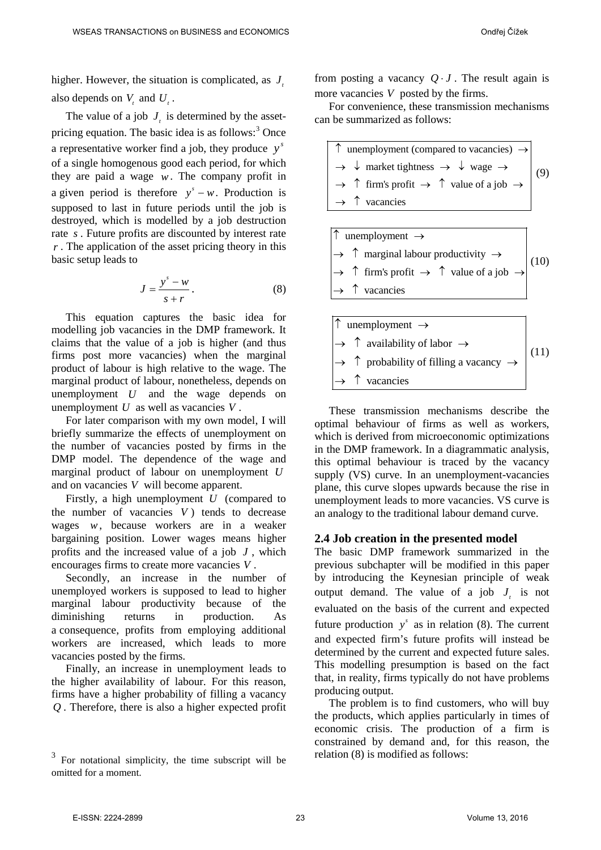higher. However, the situation is complicated, as  $J<sub>r</sub>$ also depends on  $V_t$  and  $U_t$ .

The value of a job  $J<sub>1</sub>$  is determined by the asset-pricing equation. The basic idea is as follows:<sup>[3](#page-1-3)</sup> Once a representative worker find a job, they produce  $y^s$ of a single homogenous good each period, for which they are paid a wage *w*. The company profit in a given period is therefore  $y^s - w$ . Production is supposed to last in future periods until the job is destroyed, which is modelled by a job destruction rate *s* . Future profits are discounted by interest rate *r* . The application of the asset pricing theory in this basic setup leads to

$$
J = \frac{y^s - w}{s + r}.
$$
 (8)

This equation captures the basic idea for modelling job vacancies in the DMP framework. It claims that the value of a job is higher (and thus firms post more vacancies) when the marginal product of labour is high relative to the wage. The marginal product of labour, nonetheless, depends on unemployment *U* and the wage depends on unemployment *U* as well as vacancies *V* .

For later comparison with my own model, I will briefly summarize the effects of unemployment on the number of vacancies posted by firms in the DMP model. The dependence of the wage and marginal product of labour on unemployment *U* and on vacancies *V* will become apparent.

Firstly, a high unemployment *U* (compared to the number of vacancies  $V$ ) tends to decrease wages *w*, because workers are in a weaker bargaining position. Lower wages means higher profits and the increased value of a job *J* , which encourages firms to create more vacancies *V* .

Secondly, an increase in the number of unemployed workers is supposed to lead to higher marginal labour productivity because of the diminishing returns in production. As a consequence, profits from employing additional workers are increased, which leads to more vacancies posted by the firms.

Finally, an increase in unemployment leads to the higher availability of labour. For this reason, firms have a higher probability of filling a vacancy *Q* . Therefore, there is also a higher expected profit from posting a vacancy  $Q \cdot J$ . The result again is more vacancies *V* posted by the firms.

For convenience, these transmission mechanisms can be summarized as follows:



| $ \uparrow\>$ unemployment $\rightarrow\>$                                                   |      |
|----------------------------------------------------------------------------------------------|------|
| $\rightarrow$ $\uparrow$ marginal labour productivity $\rightarrow$                          | (10) |
| $\Rightarrow$ $\uparrow$ firm's profit $\rightarrow$ $\uparrow$ value of a job $\rightarrow$ |      |
| $\rightarrow \uparrow$ vacancies                                                             |      |
|                                                                                              |      |
|                                                                                              |      |

| $ \uparrow\>$ unemployment $\rightarrow\>$                              |      |
|-------------------------------------------------------------------------|------|
| $\rightarrow \uparrow$ availability of labor $\rightarrow$              |      |
| $\rightarrow$ $\uparrow$ probability of filling a vacancy $\rightarrow$ | (11) |
| $\rightarrow \uparrow$ vacancies                                        |      |

These transmission mechanisms describe the optimal behaviour of firms as well as workers, which is derived from microeconomic optimizations in the DMP framework. In a diagrammatic analysis, this optimal behaviour is traced by the vacancy supply (VS) curve. In an unemployment-vacancies plane, this curve slopes upwards because the rise in unemployment leads to more vacancies. VS curve is an analogy to the traditional labour demand curve.

### **2.4 Job creation in the presented model**

The basic DMP framework summarized in the previous subchapter will be modified in this paper by introducing the Keynesian principle of weak output demand. The value of a job  $J_i$  is not evaluated on the basis of the current and expected future production  $y^s$  as in relation (8). The current and expected firm's future profits will instead be determined by the current and expected future sales. This modelling presumption is based on the fact that, in reality, firms typically do not have problems producing output.

The problem is to find customers, who will buy the products, which applies particularly in times of economic crisis. The production of a firm is constrained by demand and, for this reason, the relation (8) is modified as follows:

<span id="page-2-0"></span> $3$  For notational simplicity, the time subscript will be omitted for a moment.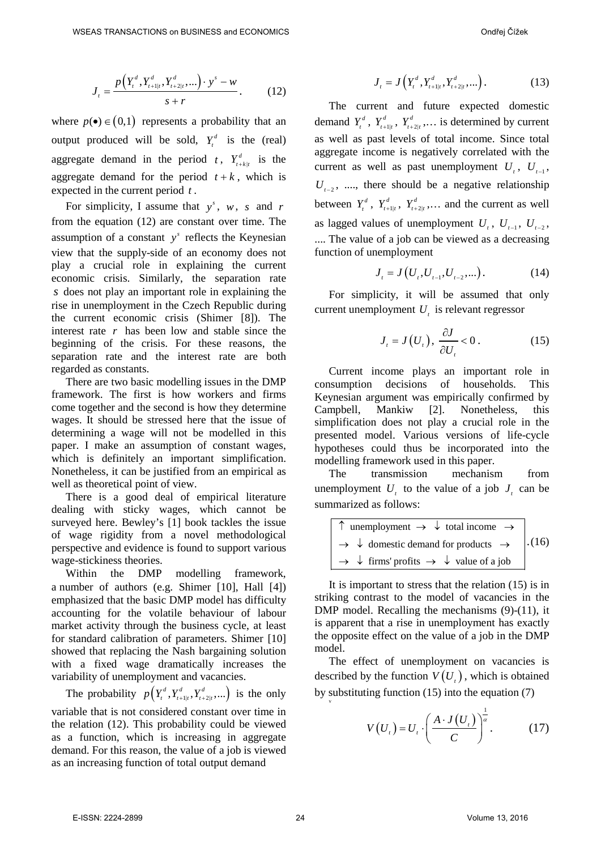$$
J_{t} = \frac{p(Y_{t}^{d}, Y_{t+1|t}^{d}, Y_{t+2|t}^{d}, \dots) \cdot y^{s} - w}{s + r}.
$$
 (12)

where  $p(\bullet) \in (0,1)$  represents a probability that an output produced will be sold,  $Y_t^d$  is the (real) aggregate demand in the period *t*,  $Y_{t+k|t}^d$  is the aggregate demand for the period  $t + k$ , which is expected in the current period *t* .

For simplicity, I assume that  $y^s$ , w, s and r from the equation (12) are constant over time. The assumption of a constant  $y^s$  reflects the Keynesian view that the supply-side of an economy does not play a crucial role in explaining the current economic crisis. Similarly, the separation rate *s* does not play an important role in explaining the rise in unemployment in the Czech Republic during the current economic crisis (Shimer [\[8\]\)](#page-8-6). The interest rate *r* has been low and stable since the beginning of the crisis. For these reasons, the separation rate and the interest rate are both regarded as constants.

There are two basic modelling issues in the DMP framework. The first is how workers and firms come together and the second is how they determine wages. It should be stressed here that the issue of determining a wage will not be modelled in this paper. I make an assumption of constant wages, which is definitely an important simplification. Nonetheless, it can be justified from an empirical as well as theoretical point of view.

There is a good deal of empirical literature dealing with sticky wages, which cannot be surveyed here. Bewley's [\[1\]](#page-8-8) book tackles the issue of wage rigidity from a novel methodological perspective and evidence is found to support various wage-stickiness theories.

Within the DMP modelling framework, a number of authors (e.g. Shimer [\[10\],](#page-8-9) Hall [\[4\]\)](#page-8-10) emphasized that the basic DMP model has difficulty accounting for the volatile behaviour of labour market activity through the business cycle, at least for standard calibration of parameters. Shimer [\[10\]](#page-8-9) showed that replacing the Nash bargaining solution with a fixed wage dramatically increases the variability of unemployment and vacancies.

The probability  $p(Y_t^d, Y_{t+1|t}^d, Y_{t+2|t}^d, \ldots)$  is the only variable that is not considered constant over time in the relation (12). This probability could be viewed as a function, which is increasing in aggregate demand. For this reason, the value of a job is viewed as an increasing function of total output demand

$$
J_{t} = J\left(Y_{t}^{d}, Y_{t+1|t}^{d}, Y_{t+2|t}^{d}, \ldots\right).
$$
 (13)

The current and future expected domestic demand  $Y_t^d$ ,  $Y_{t+1|t}^d$ ,  $Y_{t+2|t}^d$ ,... is determined by current as well as past levels of total income. Since total aggregate income is negatively correlated with the current as well as past unemployment  $U_t$ ,  $U_{t-1}$ ,  $U_{t-2}$ , ...., there should be a negative relationship between  $Y_t^d$ ,  $Y_{t+1|t}^d$ ,  $Y_{t+2|t}^d$ , ... and the current as well as lagged values of unemployment  $U_t$ ,  $U_{t-1}$ ,  $U_{t-2}$ , .... The value of a job can be viewed as a decreasing function of unemployment

$$
J_{t} = J(U_{t}, U_{t-1}, U_{t-2}, \dots). \tag{14}
$$

For simplicity, it will be assumed that only current unemployment  $U_t$  is relevant regressor

$$
J_{t} = J(U_{t}), \frac{\partial J}{\partial U_{t}} < 0.
$$
 (15)

Current income plays an important role in consumption decisions of households. This Keynesian argument was empirically confirmed by Campbell, Mankiw [\[2\].](#page-8-11) Nonetheless, this simplification does not play a crucial role in the presented model. Various versions of life-cycle hypotheses could thus be incorporated into the modelling framework used in this paper.

The transmission mechanism from unemployment  $U_t$ , to the value of a job  $J_t$  can be summarized as follows:

| $\uparrow$ unemployment $\rightarrow \downarrow$ total income $\rightarrow$     |        |
|---------------------------------------------------------------------------------|--------|
| $\rightarrow \downarrow$ domestic demand for products $\rightarrow$             | . (16) |
| $\rightarrow \downarrow$ firms' profits $\rightarrow \downarrow$ value of a job |        |

It is important to stress that the relation (15) is in striking contrast to the model of vacancies in the DMP model. Recalling the mechanisms (9)-(11), it is apparent that a rise in unemployment has exactly the opposite effect on the value of a job in the DMP model.

The effect of unemployment on vacancies is described by the function  $V(U_t)$ , which is obtained by substituting function  $(15)$  into the equation  $(7)$ 

$$
V(U_{i}) = U_{i} \cdot \left(\frac{A \cdot J(U_{i})}{C}\right)^{\frac{1}{\alpha}}.
$$
 (17)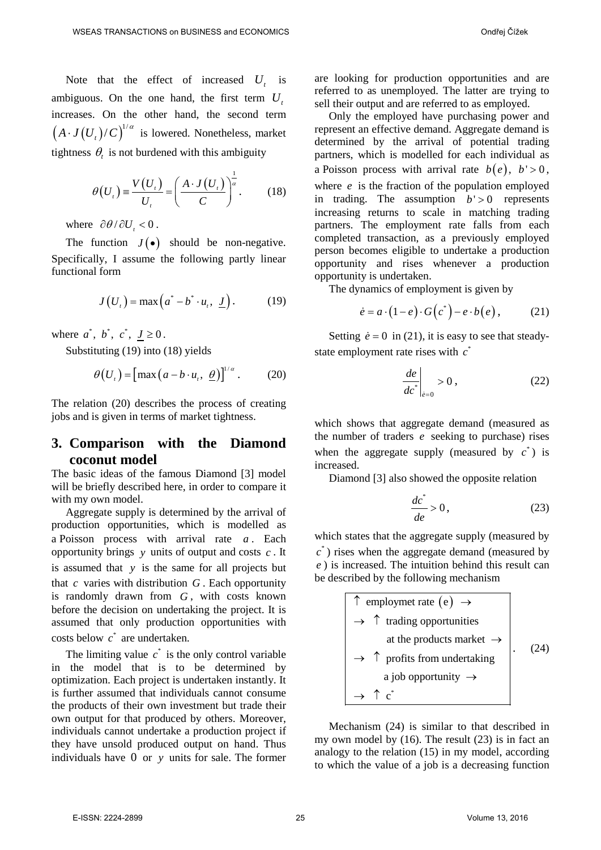Note that the effect of increased  $U_t$  is ambiguous. On the one hand, the first term  $U_t$ increases. On the other hand, the second term  $(A \cdot J(U_{t})/C)^{1/\alpha}$  is lowered. Nonetheless, market tightness  $\theta_t$  is not burdened with this ambiguity

$$
\theta(U_{i}) = \frac{V(U_{i})}{U_{i}} = \left(\frac{A \cdot J(U_{i})}{C}\right)^{\frac{1}{\alpha}}.
$$
 (18)

where  $\partial \theta / \partial U_t < 0$ .

The function  $J(\bullet)$  should be non-negative. Specifically, I assume the following partly linear functional form

$$
J(Ut) = \max (a^* - b^* \cdot u_t, \underline{J}). \qquad (19)
$$

where  $a^*$ ,  $b^*$ ,  $c^*$ ,  $J \ge 0$ .

Substituting (19) into (18) yields

$$
\theta(U_{i}) = \left[\max\left(a - b \cdot u_{i}, \ \underline{\theta}\right)\right]^{1/\alpha}.\tag{20}
$$

The relation (20) describes the process of creating jobs and is given in terms of market tightness.

# <span id="page-4-0"></span>**3. Comparison with the Diamond coconut model**

The basic ideas of the famous Diamond [\[3\]](#page-8-1) model will be briefly described here, in order to compare it with my own model.

Aggregate supply is determined by the arrival of production opportunities, which is modelled as a Poisson process with arrival rate *a* . Each opportunity brings *y* units of output and costs *c* . It is assumed that *y* is the same for all projects but that *c* varies with distribution *G* . Each opportunity is randomly drawn from *G* , with costs known before the decision on undertaking the project. It is assumed that only production opportunities with costs below  $c^*$  are undertaken.

The limiting value  $c^*$  is the only control variable in the model that is to be determined by optimization. Each project is undertaken instantly. It is further assumed that individuals cannot consume the products of their own investment but trade their own output for that produced by others. Moreover, individuals cannot undertake a production project if they have unsold produced output on hand. Thus individuals have 0 or *y* units for sale. The former

are looking for production opportunities and are referred to as unemployed. The latter are trying to sell their output and are referred to as employed.

Only the employed have purchasing power and represent an effective demand. Aggregate demand is determined by the arrival of potential trading partners, which is modelled for each individual as a Poisson process with arrival rate  $b(e)$ ,  $b' > 0$ , where *e* is the fraction of the population employed in trading. The assumption  $b' > 0$  represents increasing returns to scale in matching trading partners. The employment rate falls from each completed transaction, as a previously employed person becomes eligible to undertake a production opportunity and rises whenever a production opportunity is undertaken.

The dynamics of employment is given by

$$
\dot{e} = a \cdot (1 - e) \cdot G\left(c^*\right) - e \cdot b\left(e\right),\tag{21}
$$

Setting  $\dot{e} = 0$  in (21), it is easy to see that steadystate employment rate rises with  $c^*$ 

$$
\left. \frac{de}{dc^*} \right|_{\dot{e}=0} > 0 , \qquad (22)
$$

which shows that aggregate demand (measured as the number of traders *e* seeking to purchase) rises when the aggregate supply (measured by  $c^*$ ) is increased.

Diamond [\[3\]](#page-8-1) also showed the opposite relation

$$
\frac{dc^*}{de} > 0, \tag{23}
$$

which states that the aggregate supply (measured by  $c^*$ ) rises when the aggregate demand (measured by *e* ) is increased. The intuition behind this result can be described by the following mechanism

| $\uparrow$ employmet rate (e) $\rightarrow$       |  |
|---------------------------------------------------|--|
| $\rightarrow$ $\uparrow$ trading opportunities    |  |
| at the products market $\rightarrow$              |  |
| $\rightarrow$ $\uparrow$ profits from undertaking |  |
| a job opportunity $\rightarrow$                   |  |
| $\mathbf{c}^*$                                    |  |

Mechanism (24) is similar to that described in my own model by (16). The result (23) is in fact an analogy to the relation (15) in my model, according to which the value of a job is a decreasing function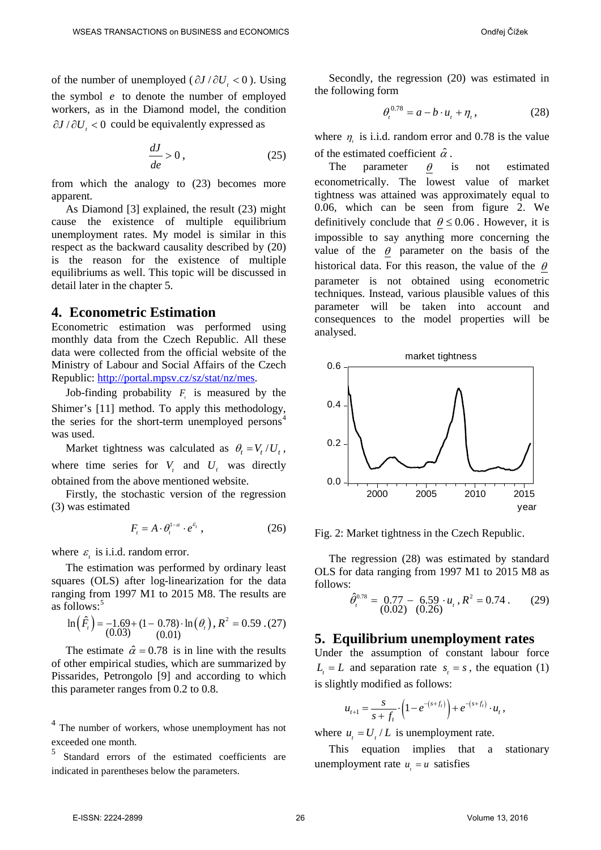of the number of unemployed ( $\partial J / \partial U$ , < 0). Using the symbol *e* to denote the number of employed workers, as in the Diamond model, the condition ∂*J* / ∂*U*, < 0 could be equivalently expressed as

$$
\frac{dJ}{de} > 0\,,\tag{25}
$$

from which the analogy to (23) becomes more apparent.

As Diamond [\[3\]](#page-8-1) explained, the result (23) might cause the existence of multiple equilibrium unemployment rates. My model is similar in this respect as the backward causality described by (20) is the reason for the existence of multiple equilibriums as well. This topic will be discussed in detail later in the chapter [5.](#page-5-1)

### <span id="page-5-0"></span>**4. Econometric Estimation**

Econometric estimation was performed using monthly data from the Czech Republic. All these data were collected from the official website of the Ministry of Labour and Social Affairs of the Czech Republic: [http://portal.mpsv.cz/sz/stat/nz/mes.](http://portal.mpsv.cz/sz/stat/nz/mes)

Job-finding probability  $F_i$  is measured by the Shimer's [\[11\]](#page-8-6) method. To apply this methodology, the series for the short-term unemployed persons<sup>[4](#page-2-0)</sup> was used.

Market tightness was calculated as  $\theta_t = V_t / U_t$ , where time series for  $V_t$  and  $U_t$  was directly obtained from the above mentioned website.

Firstly, the stochastic version of the regression (3) was estimated

$$
F_{t} = A \cdot \theta_{t}^{1-\alpha} \cdot e^{\varepsilon_{t}}, \qquad (26)
$$

where  $\varepsilon$ , is i.i.d. random error.

The estimation was performed by ordinary least squares (OLS) after log-linearization for the data ranging from 1997 M1 to 2015 M8. The results are as follows:<sup>[5](#page-5-2)</sup>

$$
\ln(\hat{F}_i) = -1.69 + (1 - 0.78) \cdot \ln(\theta_i), R^2 = 0.59 \cdot (27)
$$
  
(0.03) (0.01)

The estimate  $\hat{\alpha} = 0.78$  is in line with the results of other empirical studies, which are summarized by Pissarides, Petrongolo [\[9\]](#page-8-7) and according to which this parameter ranges from 0.2 to 0.8.

<span id="page-5-2"></span><sup>4</sup> The number of workers, whose unemployment has not exceeded one month.

<sup>5</sup> Standard errors of the estimated coefficients are indicated in parentheses below the parameters.

Secondly, the regression (20) was estimated in the following form

$$
\theta_t^{0.78} = a - b \cdot u_t + \eta_t, \qquad (28)
$$

where  $\eta$  is i.i.d. random error and 0.78 is the value of the estimated coefficient  $\hat{\alpha}$ .

The parameter  $\theta$  is not estimated econometrically. The lowest value of market tightness was attained was approximately equal to 0.06, which can be seen from figure 2. We definitively conclude that  $\theta \le 0.06$ . However, it is impossible to say anything more concerning the value of the  $\theta$  parameter on the basis of the historical data. For this reason, the value of the  $\theta$ parameter is not obtained using econometric techniques. Instead, various plausible values of this parameter will be taken into account and consequences to the model properties will be analysed.



Fig. 2: Market tightness in the Czech Republic.

The regression (28) was estimated by standard OLS for data ranging from 1997 M1 to 2015 M8 as follows:

$$
\hat{\theta}_{t}^{0.78} = \begin{array}{cc} 0.77 - 6.59 \cdot u_{t}, R^{2} = 0.74 \, . \\ (0.02) \quad (0.26) \end{array} \tag{29}
$$

### <span id="page-5-1"></span>**5. Equilibrium unemployment rates**

Under the assumption of constant labour force  $L = L$  and separation rate  $s = s$ , the equation (1) is slightly modified as follows:

$$
u_{t+1} = \frac{s}{s+f_t} \cdot \left(1 - e^{-(s+f_t)}\right) + e^{-(s+f_t)} \cdot u_t,
$$

where  $u_t = U_t / L$  is unemployment rate.

This equation implies that a stationary unemployment rate  $u_i = u$  satisfies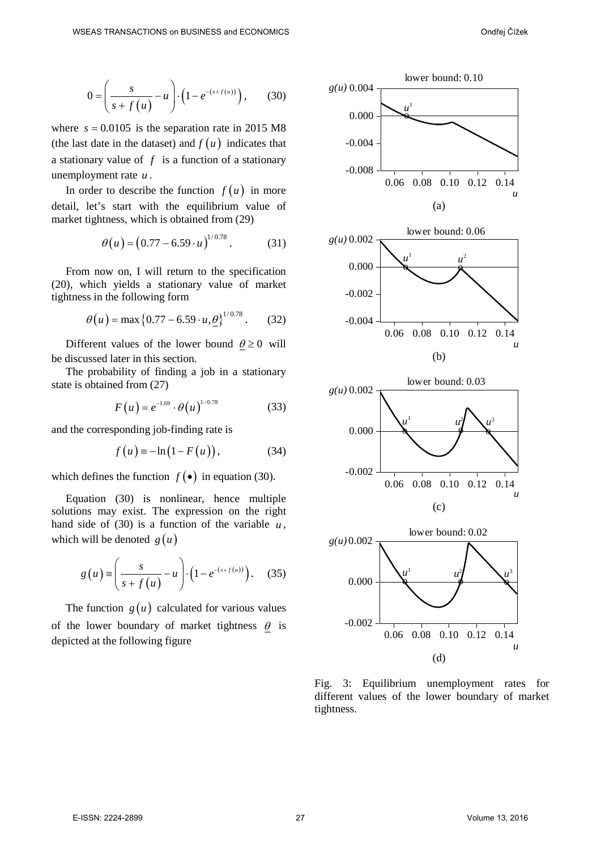$$
0 = \left(\frac{s}{s + f(u)} - u\right) \cdot \left(1 - e^{-(s + f(u))}\right), \quad (30)
$$

where  $s = 0.0105$  is the separation rate in 2015 M8 (the last date in the dataset) and  $f(u)$  indicates that a stationary value of *f* is a function of a stationary unemployment rate *u* .

In order to describe the function  $f(u)$  in more detail, let's start with the equilibrium value of market tightness, which is obtained from (29)

$$
\theta(u) = (0.77 - 6.59 \cdot u)^{1/0.78} \,. \tag{31}
$$

From now on, I will return to the specification (20), which yields a stationary value of market tightness in the following form

$$
\theta(u) = \max\{0.77 - 6.59 \cdot u, \underline{\theta}\}^{1/0.78}.
$$
 (32)

Different values of the lower bound  $\theta \ge 0$  will be discussed later in this section.

The probability of finding a job in a stationary state is obtained from (27)

$$
F(u) = e^{-1.69} \cdot \theta(u)^{1-0.78}
$$
 (33)

and the corresponding job-finding rate is

$$
f(u) = -\ln(1 - F(u)), \qquad (34)
$$

which defines the function  $f(\bullet)$  in equation (30).

Equation (30) is nonlinear, hence multiple solutions may exist. The expression on the right hand side of (30) is a function of the variable  $u$ , which will be denoted  $g(u)$ 

$$
g\left(u\right) \equiv \left(\frac{s}{s+f\left(u\right)}-u\right) \cdot \left(1-e^{-(s+f\left(u\right))}\right). \tag{35}
$$

The function  $g(u)$  calculated for various values of the lower boundary of market tightness  $\theta$  is depicted at the following figure



Fig. 3: Equilibrium unemployment rates for different values of the lower boundary of market tightness.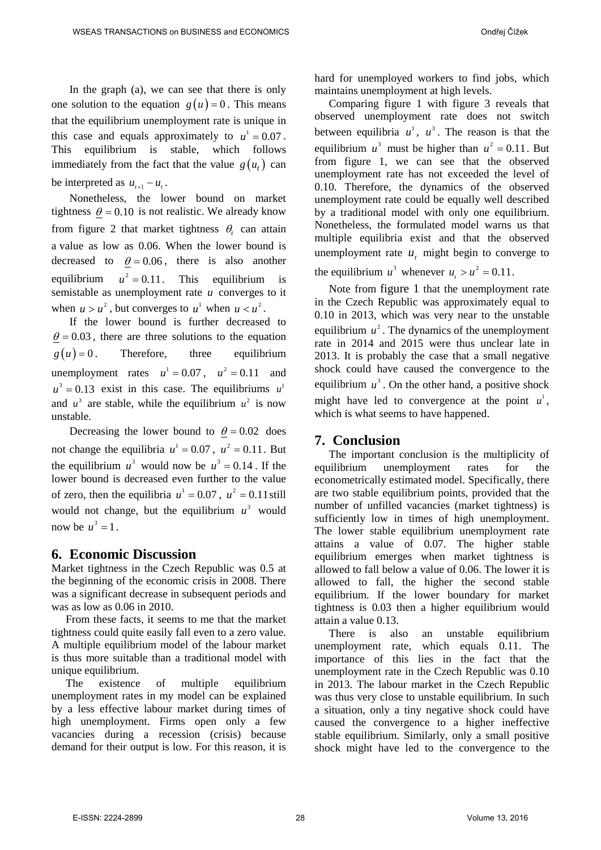In the graph (a), we can see that there is only one solution to the equation  $g(u) = 0$ . This means that the equilibrium unemployment rate is unique in this case and equals approximately to  $u^1 = 0.07$ . This equilibrium is stable, which follows immediately from the fact that the value  $g(u_t)$  can be interpreted as  $u_{t+1} - u_t$ .

Nonetheless, the lower bound on market tightness  $\theta = 0.10$  is not realistic. We already know from figure 2 that market tightness  $\theta$ , can attain a value as low as 0.06. When the lower bound is decreased to  $\theta = 0.06$ , there is also another equilibrium  $u^2 = 0.11$ . This equilibrium is semistable as unemployment rate *u* converges to it when  $u > u^2$ , but converges to  $u^1$  when  $u < u^2$ .

If the lower bound is further decreased to  $\theta = 0.03$ , there are three solutions to the equation  $g(u) = 0$ . Therefore, three equilibrium unemployment rates  $u^1 = 0.07$ ,  $u^2 = 0.11$  and  $u^3 = 0.13$  exist in this case. The equilibriums  $u^1$ and  $u^3$  are stable, while the equilibrium  $u^2$  is now unstable.

Decreasing the lower bound to  $\theta = 0.02$  does not change the equilibria  $u^1 = 0.07$ ,  $u^2 = 0.11$ . But the equilibrium  $u^3$  would now be  $u^3 = 0.14$ . If the lower bound is decreased even further to the value of zero, then the equilibria  $u^1 = 0.07$ ,  $u^2 = 0.11$  still would not change, but the equilibrium  $u^3$  would now be  $u^3 = 1$ .

## <span id="page-7-0"></span>**6. Economic Discussion**

Market tightness in the Czech Republic was 0.5 at the beginning of the economic crisis in 2008. There was a significant decrease in subsequent periods and was as low as 0.06 in 2010.

From these facts, it seems to me that the market tightness could quite easily fall even to a zero value. A multiple equilibrium model of the labour market is thus more suitable than a traditional model with unique equilibrium.

The existence of multiple equilibrium unemployment rates in my model can be explained by a less effective labour market during times of high unemployment. Firms open only a few vacancies during a recession (crisis) because demand for their output is low. For this reason, it is hard for unemployed workers to find jobs, which maintains unemployment at high levels.

Comparing figure 1 with figure 3 reveals that observed unemployment rate does not switch between equilibria  $u^1$ ,  $u^3$ . The reason is that the equilibrium  $u^3$  must be higher than  $u^2 = 0.11$ . But from figure 1, we can see that the observed unemployment rate has not exceeded the level of 0.10. Therefore, the dynamics of the observed unemployment rate could be equally well described by a traditional model with only one equilibrium. Nonetheless, the formulated model warns us that multiple equilibria exist and that the observed unemployment rate  $u_t$  might begin to converge to

the equilibrium  $u^3$  whenever  $u > u^2 = 0.11$ .

Note from figure 1 that the unemployment rate in the Czech Republic was approximately equal to 0.10 in 2013, which was very near to the unstable equilibrium  $u^2$ . The dynamics of the unemployment rate in 2014 and 2015 were thus unclear late in 2013. It is probably the case that a small negative shock could have caused the convergence to the equilibrium  $u^3$ . On the other hand, a positive shock might have led to convergence at the point  $u^1$ , which is what seems to have happened.

# <span id="page-7-1"></span>**7. Conclusion**

The important conclusion is the multiplicity of equilibrium unemployment rates for the econometrically estimated model. Specifically, there are two stable equilibrium points, provided that the number of unfilled vacancies (market tightness) is sufficiently low in times of high unemployment. The lower stable equilibrium unemployment rate attains a value of 0.07. The higher stable equilibrium emerges when market tightness is allowed to fall below a value of 0.06. The lower it is allowed to fall, the higher the second stable equilibrium. If the lower boundary for market tightness is 0.03 then a higher equilibrium would attain a value 0.13.

There is also an unstable equilibrium unemployment rate, which equals 0.11. The importance of this lies in the fact that the unemployment rate in the Czech Republic was 0.10 in 2013. The labour market in the Czech Republic was thus very close to unstable equilibrium. In such a situation, only a tiny negative shock could have caused the convergence to a higher ineffective stable equilibrium. Similarly, only a small positive shock might have led to the convergence to the